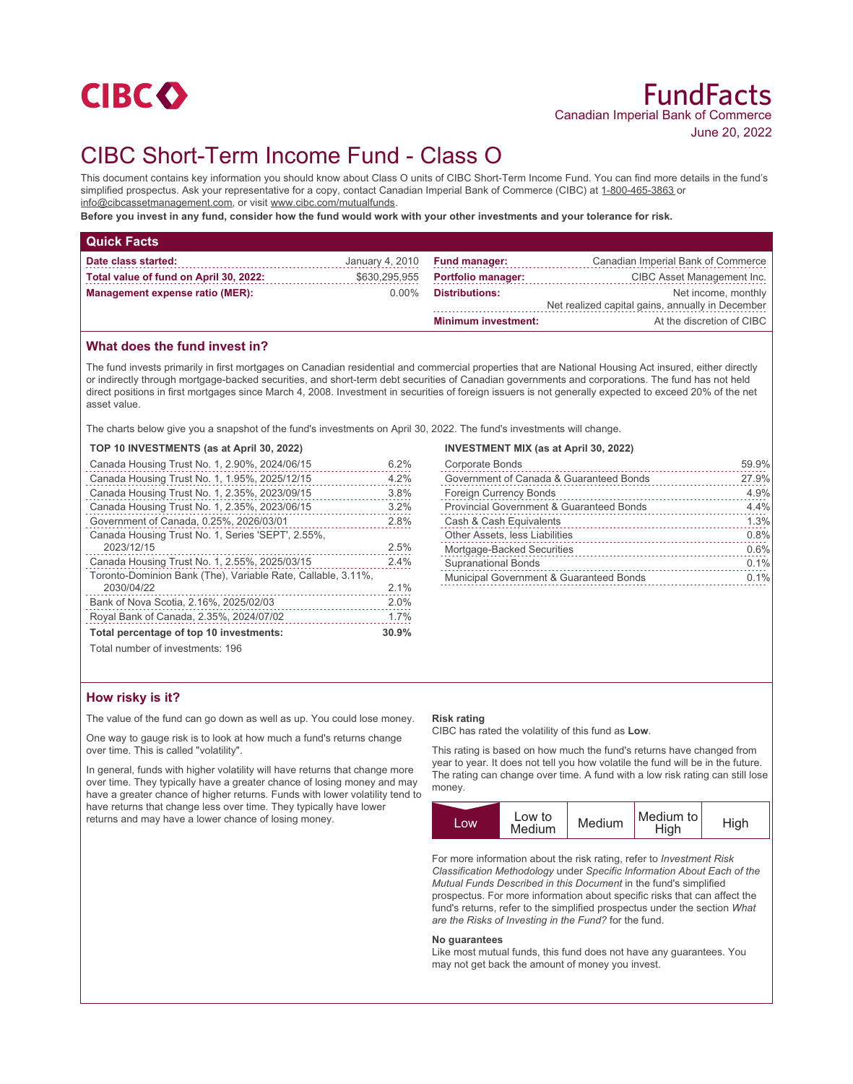

# CIBC Short-Term Income Fund - Class O

This document contains key information you should know about Class O units of CIBC Short-Term Income Fund. You can find more details in the fund's simplified prospectus. Ask your representative for a copy, contact Canadian Imperial Bank of Commerce (CIBC) at 1-800-465-3863 or info@cibcassetmanagement.com, or visit www.cibc.com/mutualfunds.

**Before you invest in any fund, consider how the fund would work with your other investments and your tolerance for risk.**

| <b>Quick Facts</b>                     |               |                               |                                                  |
|----------------------------------------|---------------|-------------------------------|--------------------------------------------------|
| Date class started:                    |               | January 4, 2010 Fund manager: | Canadian Imperial Bank of Commerce               |
| Total value of fund on April 30, 2022: | \$630,295,955 | <b>Portfolio manager:</b>     | CIBC Asset Management Inc.                       |
| Management expense ratio (MER):        | 0.00%         | Distributions:                | Net income, monthly                              |
|                                        |               |                               | Net realized capital gains, annually in December |
|                                        |               | <b>Minimum investment:</b>    | At the discretion of CIBC                        |

## **What does the fund invest in?**

The fund invests primarily in first mortgages on Canadian residential and commercial properties that are National Housing Act insured, either directly or indirectly through mortgage-backed securities, and short-term debt securities of Canadian governments and corporations. The fund has not held direct positions in first mortgages since March 4, 2008. Investment in securities of foreign issuers is not generally expected to exceed 20% of the net asset value.

The charts below give you a snapshot of the fund's investments on April 30, 2022. The fund's investments will change.

## **TOP 10 INVESTMENTS (as at April 30, 2022)**

| Canada Housing Trust No. 1, 2.90%, 2024/06/15                | 6.2%  |
|--------------------------------------------------------------|-------|
| Canada Housing Trust No. 1, 1.95%, 2025/12/15                | 4.2%  |
| Canada Housing Trust No. 1, 2.35%, 2023/09/15                | 3.8%  |
| Canada Housing Trust No. 1, 2.35%, 2023/06/15                | 3.2%  |
| Government of Canada, 0.25%, 2026/03/01                      | 2.8%  |
| Canada Housing Trust No. 1, Series 'SEPT', 2.55%,            |       |
| 2023/12/15                                                   | 2.5%  |
| Canada Housing Trust No. 1, 2.55%, 2025/03/15                | 2.4%  |
| Toronto-Dominion Bank (The), Variable Rate, Callable, 3.11%, |       |
| 2030/04/22                                                   | 2.1%  |
| Bank of Nova Scotia, 2.16%, 2025/02/03                       | 2.0%  |
| Royal Bank of Canada, 2.35%, 2024/07/02                      | 1.7%  |
| Total percentage of top 10 investments:                      | 30.9% |
| Total number of invootmanter 106                             |       |

#### **INVESTMENT MIX (as at April 30, 2022)**

| Corporate Bonds                                     | 59.9% |
|-----------------------------------------------------|-------|
| Government of Canada & Guaranteed Bonds             | 27.9% |
| <b>Foreign Currency Bonds</b>                       | 4.9%  |
| <b>Provincial Government &amp; Guaranteed Bonds</b> | 4.4%  |
| Cash & Cash Equivalents                             | 1.3%  |
| Other Assets, less Liabilities                      | 0.8%  |
| Mortgage-Backed Securities                          | 0.6%  |
| <b>Supranational Bonds</b>                          | 0.1%  |
| Municipal Government & Guaranteed Bonds             | 0.1%  |
|                                                     |       |

Total number of investments: 196

### **How risky is it?**

The value of the fund can go down as well as up. You could lose money.

One way to gauge risk is to look at how much a fund's returns change over time. This is called "volatility".

In general, funds with higher volatility will have returns that change more over time. They typically have a greater chance of losing money and may have a greater chance of higher returns. Funds with lower volatility tend to have returns that change less over time. They typically have lower returns and may have a lower chance of losing money.

#### **Risk rating**

CIBC has rated the volatility of this fund as **Low**.

This rating is based on how much the fund's returns have changed from year to year. It does not tell you how volatile the fund will be in the future. The rating can change over time. A fund with a low risk rating can still lose money.

| Low to<br><b>COW</b><br>Medium | Medium | Medium to<br>High | High |
|--------------------------------|--------|-------------------|------|
|--------------------------------|--------|-------------------|------|

For more information about the risk rating, refer to *Investment Risk Classification Methodology* under *Specific Information About Each of the Mutual Funds Described in this Document* in the fund's simplified prospectus. For more information about specific risks that can affect the fund's returns, refer to the simplified prospectus under the section *What are the Risks of Investing in the Fund?* for the fund.

#### **No guarantees**

Like most mutual funds, this fund does not have any guarantees. You may not get back the amount of money you invest.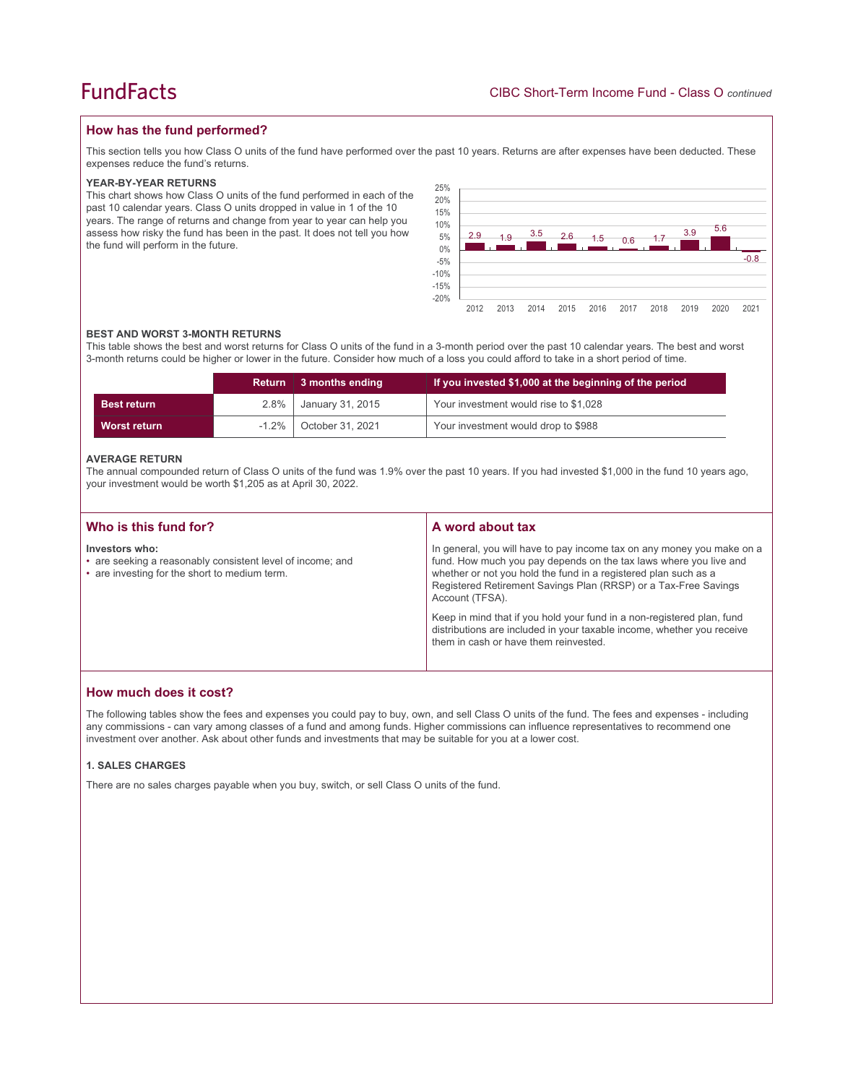## **How has the fund performed?**

This section tells you how Class O units of the fund have performed over the past 10 years. Returns are after expenses have been deducted. These expenses reduce the fund's returns.

#### **YEAR-BY-YEAR RETURNS**

This chart shows how Class O units of the fund performed in each of the past 10 calendar years. Class O units dropped in value in 1 of the 10 years. The range of returns and change from year to year can help you assess how risky the fund has been in the past. It does not tell you how the fund will perform in the future.



#### **BEST AND WORST 3-MONTH RETURNS**

This table shows the best and worst returns for Class O units of the fund in a 3-month period over the past 10 calendar years. The best and worst 3-month returns could be higher or lower in the future. Consider how much of a loss you could afford to take in a short period of time.

|                    | Return   | 3 months ending  | If you invested \$1,000 at the beginning of the period |
|--------------------|----------|------------------|--------------------------------------------------------|
| <b>Best return</b> | $2.8\%$  | January 31, 2015 | Your investment would rise to \$1,028                  |
| Worst return       | $-1.2\%$ | October 31, 2021 | Your investment would drop to \$988                    |

#### **AVERAGE RETURN**

The annual compounded return of Class O units of the fund was 1.9% over the past 10 years. If you had invested \$1,000 in the fund 10 years ago, your investment would be worth \$1,205 as at April 30, 2022.

| Who is this fund for?                                                                                                         | A word about tax                                                                                                                                                                                                                                                                                     |
|-------------------------------------------------------------------------------------------------------------------------------|------------------------------------------------------------------------------------------------------------------------------------------------------------------------------------------------------------------------------------------------------------------------------------------------------|
| Investors who:<br>• are seeking a reasonably consistent level of income; and<br>• are investing for the short to medium term. | In general, you will have to pay income tax on any money you make on a<br>fund. How much you pay depends on the tax laws where you live and<br>whether or not you hold the fund in a registered plan such as a<br>Registered Retirement Savings Plan (RRSP) or a Tax-Free Savings<br>Account (TFSA). |
|                                                                                                                               | Keep in mind that if you hold your fund in a non-registered plan, fund<br>distributions are included in your taxable income, whether you receive<br>them in cash or have them reinvested.                                                                                                            |

## **How much does it cost?**

The following tables show the fees and expenses you could pay to buy, own, and sell Class O units of the fund. The fees and expenses - including any commissions - can vary among classes of a fund and among funds. Higher commissions can influence representatives to recommend one investment over another. Ask about other funds and investments that may be suitable for you at a lower cost.

#### **1. SALES CHARGES**

There are no sales charges payable when you buy, switch, or sell Class O units of the fund.